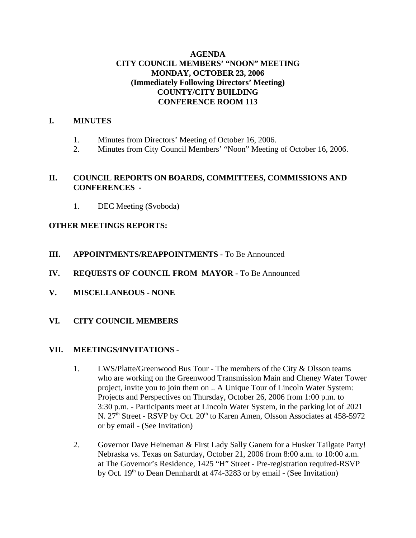# **AGENDA CITY COUNCIL MEMBERS' "NOON" MEETING MONDAY, OCTOBER 23, 2006 (Immediately Following Directors' Meeting) COUNTY/CITY BUILDING CONFERENCE ROOM 113**

#### **I. MINUTES**

- 1. Minutes from Directors' Meeting of October 16, 2006.
- 2. Minutes from City Council Members' "Noon" Meeting of October 16, 2006.

#### **II. COUNCIL REPORTS ON BOARDS, COMMITTEES, COMMISSIONS AND CONFERENCES -**

1. DEC Meeting (Svoboda)

# **OTHER MEETINGS REPORTS:**

- **III.** APPOINTMENTS/REAPPOINTMENTS To Be Announced
- **IV. REQUESTS OF COUNCIL FROM MAYOR -** To Be Announced
- **V. MISCELLANEOUS NONE**
- **VI. CITY COUNCIL MEMBERS**

# **VII. MEETINGS/INVITATIONS** -

- 1. LWS/Platte/Greenwood Bus Tour The members of the City & Olsson teams who are working on the Greenwood Transmission Main and Cheney Water Tower project, invite you to join them on .. A Unique Tour of Lincoln Water System: Projects and Perspectives on Thursday, October 26, 2006 from 1:00 p.m. to 3:30 p.m. - Participants meet at Lincoln Water System, in the parking lot of 2021 N. 27<sup>th</sup> Street - RSVP by Oct. 20<sup>th</sup> to Karen Amen, Olsson Associates at 458-5972 or by email - (See Invitation)
- 2. Governor Dave Heineman & First Lady Sally Ganem for a Husker Tailgate Party! Nebraska vs. Texas on Saturday, October 21, 2006 from 8:00 a.m. to 10:00 a.m. at The Governor's Residence, 1425 "H" Street - Pre-registration required-RSVP by Oct. 19<sup>th</sup> to Dean Dennhardt at 474-3283 or by email - (See Invitation)